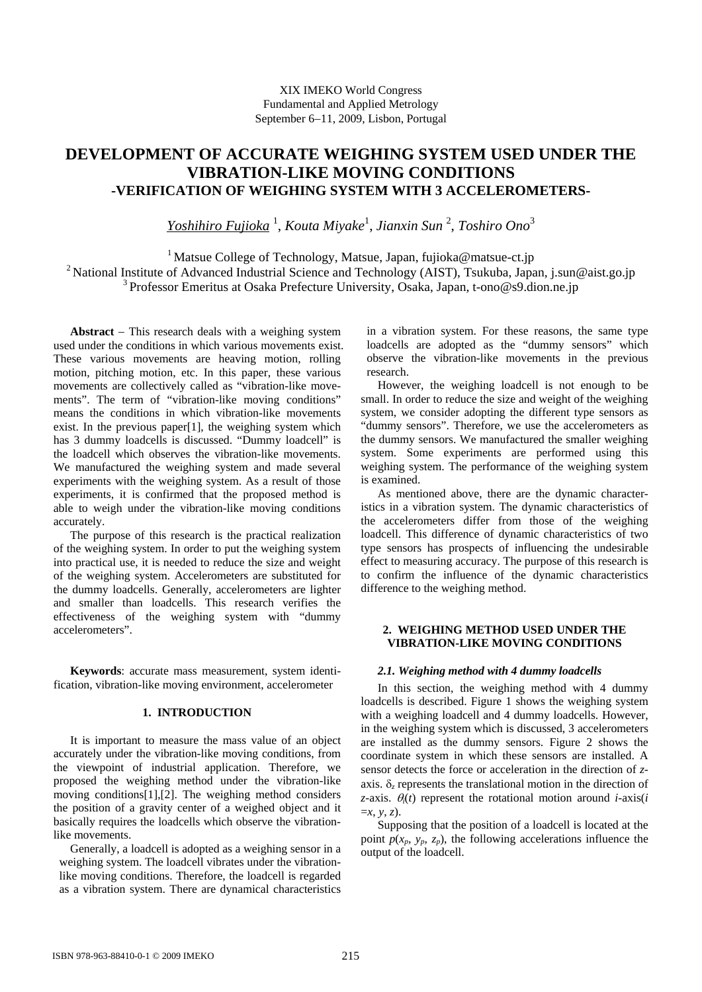# **DEVELOPMENT OF ACCURATE WEIGHING SYSTEM USED UNDER THE VIBRATION-LIKE MOVING CONDITIONS -VERIFICATION OF WEIGHING SYSTEM WITH 3 ACCELEROMETERS-**

*Yoshihiro Fujioka* <sup>1</sup> , *Kouta Miyake*<sup>1</sup> , *Jianxin Sun* <sup>2</sup> , *Toshiro Ono*<sup>3</sup>

<sup>1</sup> Matsue College of Technology, Matsue, Japan, fujioka@matsue-ct.jp <sup>2</sup> National Institute of Advanced Industrial Science and Technology (AIST), Tsukuba, Japan, j.sun@aist.go.jp 3 Professor Emeritus at Osaka Prefecture University, Osaka, Japan, t-ono@s9.dion.ne.jp

**Abstract** − This research deals with a weighing system used under the conditions in which various movements exist. These various movements are heaving motion, rolling motion, pitching motion, etc. In this paper, these various movements are collectively called as "vibration-like movements". The term of "vibration-like moving conditions" means the conditions in which vibration-like movements exist. In the previous paper[1], the weighing system which has 3 dummy loadcells is discussed. "Dummy loadcell" is the loadcell which observes the vibration-like movements. We manufactured the weighing system and made several experiments with the weighing system. As a result of those experiments, it is confirmed that the proposed method is able to weigh under the vibration-like moving conditions accurately.

The purpose of this research is the practical realization of the weighing system. In order to put the weighing system into practical use, it is needed to reduce the size and weight of the weighing system. Accelerometers are substituted for the dummy loadcells. Generally, accelerometers are lighter and smaller than loadcells. This research verifies the effectiveness of the weighing system with "dummy accelerometers".

**Keywords**: accurate mass measurement, system identification, vibration-like moving environment, accelerometer

# **1. INTRODUCTION**

It is important to measure the mass value of an object accurately under the vibration-like moving conditions, from the viewpoint of industrial application. Therefore, we proposed the weighing method under the vibration-like moving conditions[1],[2]. The weighing method considers the position of a gravity center of a weighed object and it basically requires the loadcells which observe the vibrationlike movements.

Generally, a loadcell is adopted as a weighing sensor in a weighing system. The loadcell vibrates under the vibrationlike moving conditions. Therefore, the loadcell is regarded as a vibration system. There are dynamical characteristics

in a vibration system. For these reasons, the same type loadcells are adopted as the "dummy sensors" which observe the vibration-like movements in the previous research.

However, the weighing loadcell is not enough to be small. In order to reduce the size and weight of the weighing system, we consider adopting the different type sensors as "dummy sensors". Therefore, we use the accelerometers as the dummy sensors. We manufactured the smaller weighing system. Some experiments are performed using this weighing system. The performance of the weighing system is examined.

As mentioned above, there are the dynamic characteristics in a vibration system. The dynamic characteristics of the accelerometers differ from those of the weighing loadcell. This difference of dynamic characteristics of two type sensors has prospects of influencing the undesirable effect to measuring accuracy. The purpose of this research is to confirm the influence of the dynamic characteristics difference to the weighing method.

# **2. WEIGHING METHOD USED UNDER THE VIBRATION-LIKE MOVING CONDITIONS**

# *2.1. Weighing method with 4 dummy loadcells*

In this section, the weighing method with 4 dummy loadcells is described. Figure 1 shows the weighing system with a weighing loadcell and 4 dummy loadcells. However, in the weighing system which is discussed, 3 accelerometers are installed as the dummy sensors. Figure 2 shows the coordinate system in which these sensors are installed. A sensor detects the force or acceleration in the direction of *z*axis. δ*z* represents the translational motion in the direction of *z*-axis.  $\theta_i(t)$  represent the rotational motion around *i*-axis(*i* =*x*, *y*, *z*).

Supposing that the position of a loadcell is located at the point  $p(x_n, y_n, z_n)$ , the following accelerations influence the output of the loadcell.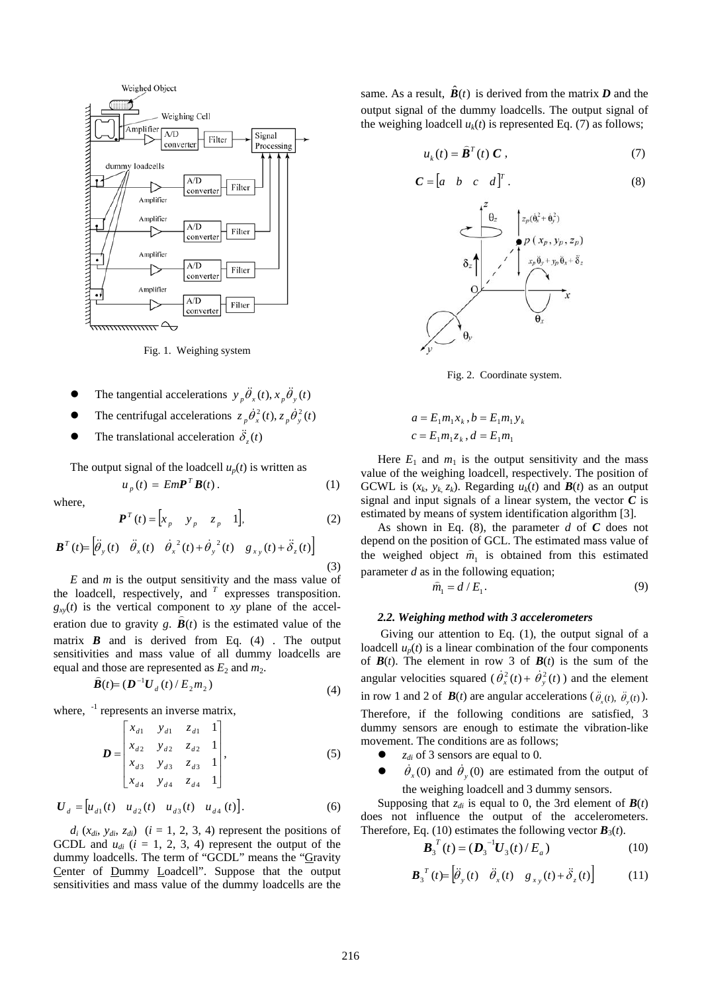

Fig. 1. Weighing system

- The tangential accelerations  $y_n \ddot{\theta}_x(t), x_n \ddot{\theta}_y(t)$
- The centrifugal accelerations  $z_p \dot{\theta}_x^2(t)$ ,  $z_p \dot{\theta}_y^2(t)$
- **•** The translational acceleration  $\ddot{\delta}_z(t)$

The output signal of the loadcell  $u_p(t)$  is written as

$$
u_p(t) = EmPTB(t).
$$
 (1)

where,

$$
\boldsymbol{P}^{T}(t) = \begin{bmatrix} x_{p} & y_{p} & z_{p} & 1 \end{bmatrix},\tag{2}
$$

$$
\boldsymbol{B}^T(t) = \begin{bmatrix} \ddot{\theta}_y(t) & \ddot{\theta}_x(t) & \dot{\theta}_x^2(t) + \dot{\theta}_y^2(t) & g_{xy}(t) + \ddot{\delta}_z(t) \end{bmatrix}
$$
\n(3)

*E* and *m* is the output sensitivity and the mass value of the loadcell, respectively, and*<sup>T</sup>* expresses transposition.  $g_{xy}(t)$  is the vertical component to *xy* plane of the acceleration due to gravity  $g$ .  $B(t)$  is the estimated value of the matrix  $\mathbf{B}$  and is derived from Eq. (4). The output sensitivities and mass value of all dummy loadcells are equal and those are represented as  $E_2$  and  $m_2$ .<br>  $\hat{B}(t) = (D^{-1}U_d(t)/E_2m_2)$ 

$$
\boldsymbol{B}(t) = (\boldsymbol{D}^{-1}\boldsymbol{U}_{d}(t) / E_{2}m_{2})
$$
\n(4)

where,  $^{-1}$  represents an inverse matrix,

$$
\boldsymbol{D} = \begin{bmatrix} x_{d1} & y_{d1} & z_{d1} & 1 \\ x_{d2} & y_{d2} & z_{d2} & 1 \\ x_{d3} & y_{d3} & z_{d3} & 1 \\ x_{d4} & y_{d4} & z_{d4} & 1 \end{bmatrix}, \tag{5}
$$

$$
U_{d} = [u_{d1}(t) \quad u_{d2}(t) \quad u_{d3}(t) \quad u_{d4}(t)]. \tag{6}
$$

 $d_i$  ( $x_{di}$ ,  $y_{di}$ ,  $z_{di}$ ) ( $i = 1, 2, 3, 4$ ) represent the positions of GCDL and  $u_{di}$  ( $i = 1, 2, 3, 4$ ) represent the output of the dummy loadcells. The term of "GCDL" means the "Gravity Center of Dummy Loadcell". Suppose that the output sensitivities and mass value of the dummy loadcells are the

same. As a result,  $\hat{B}(t)$  is derived from the matrix *D* and the output signal of the dummy loadcells. The output signal of the weighing loadcell  $u_k(t)$  is represented Eq. (7) as follows;

$$
u_k(t) = \hat{\boldsymbol{B}}^T(t) \ \boldsymbol{C} \ , \tag{7}
$$

$$
\mathbf{C} = \begin{bmatrix} a & b & c & d \end{bmatrix}^T. \tag{8}
$$



Fig. 2. Coordinate system.

$$
a = E_1 m_1 x_k, b = E_1 m_1 y_k
$$
  

$$
c = E_1 m_1 z_k, d = E_1 m_1
$$

Here  $E_1$  and  $m_1$  is the output sensitivity and the mass value of the weighing loadcell, respectively. The position of GCWL is  $(x_k, y_k, z_k)$ . Regarding  $u_k(t)$  and  $\mathbf{B}(t)$  as an output signal and input signals of a linear system, the vector  $C$  is estimated by means of system identification algorithm [3].

As shown in Eq. (8), the parameter *d* of *C* does not depend on the position of GCL. The estimated mass value of the weighed object  $\hat{m}_1$  is obtained from this estimated parameter *d* as in the following equation;

$$
\hat{m}_1 = d / E_1.
$$
 (9)

#### *2.2. Weighing method with 3 accelerometers*

 Giving our attention to Eq. (1), the output signal of a loadcell  $u_p(t)$  is a linear combination of the four components of  $B(t)$ . The element in row 3 of  $B(t)$  is the sum of the angular velocities squared ( $\dot{\theta}_x^2(t) + \dot{\theta}_y^2(t)$ ) and the element in row 1 and 2 of  $\mathbf{B}(t)$  are angular accelerations ( $\ddot{\theta}_x(t)$ ,  $\ddot{\theta}_y(t)$ ). Therefore, if the following conditions are satisfied, 3

dummy sensors are enough to estimate the vibration-like movement. The conditions are as follows;

- $\bullet$  *z<sub>di</sub>* of 3 sensors are equal to 0.
- $\dot{\theta}_x(0)$  and  $\dot{\theta}_y(0)$  are estimated from the output of the weighing loadcell and 3 dummy sensors.

Supposing that  $z_{di}$  is equal to 0, the 3rd element of  $\mathbf{B}(t)$ does not influence the output of the accelerometers. Therefore, Eq. (10) estimates the following vector  $\mathbf{B}_3(t)$ .

$$
\boldsymbol{B}_3^T(t) = (\boldsymbol{D}_3^{-1}\boldsymbol{U}_3(t)/E_a)
$$
 (10)

$$
\boldsymbol{B}_{3}{}^{T}(t) = \left[\ddot{\theta}_{y}(t) \quad \ddot{\theta}_{x}(t) \quad g_{xy}(t) + \ddot{\delta}_{z}(t)\right] \tag{11}
$$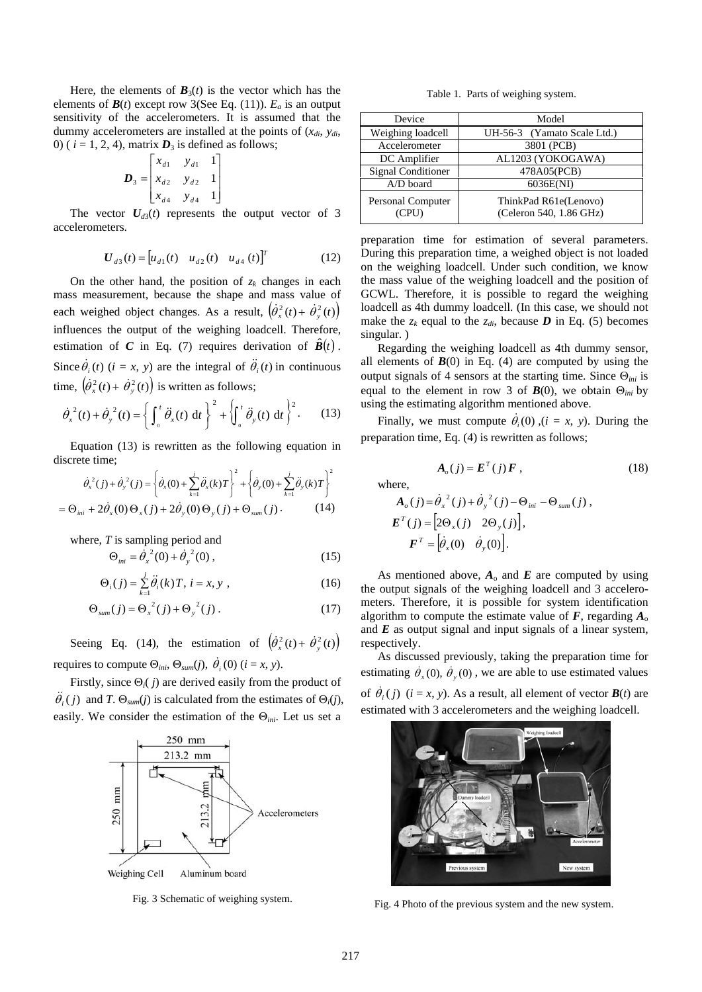Here, the elements of  $\mathbf{B}_3(t)$  is the vector which has the elements of  $\mathbf{B}(t)$  except row 3(See Eq. (11)).  $E_a$  is an output sensitivity of the accelerometers. It is assumed that the dummy accelerometers are installed at the points of  $(x_{di}, y_{di})$ 0) ( $i = 1, 2, 4$ ), matrix  $D_3$  is defined as follows;

$$
\boldsymbol{D}_3 = \begin{bmatrix} x_{d1} & y_{d1} & 1 \\ x_{d2} & y_{d2} & 1 \\ x_{d4} & y_{d4} & 1 \end{bmatrix}
$$

The vector  $U_{d3}(t)$  represents the output vector of 3 accelerometers.

$$
\boldsymbol{U}_{d3}(t) = \begin{bmatrix} u_{d1}(t) & u_{d2}(t) & u_{d4}(t) \end{bmatrix}^T
$$
 (12)

On the other hand, the position of  $z_k$  changes in each mass measurement, because the shape and mass value of each weighed object changes. As a result,  $(\dot{\theta}_x^2(t) + \dot{\theta}_y^2(t))$ influences the output of the weighing loadcell. Therefore, estimation of *C* in Eq. (7) requires derivation of  $\hat{B}(t)$ . Since  $\dot{\theta}_i(t)$  (*i* = *x*, *y*) are the integral of  $\ddot{\theta}_i(t)$  in continuous time,  $(\dot{\theta}_x^2(t) + \dot{\theta}_y^2(t))$  is written as follows;

$$
\dot{\theta}_x^2(t) + \dot{\theta}_y^2(t) = \left\{ \int_0^t \ddot{\theta}_x(t) dt \right\}^2 + \left\{ \int_0^t \ddot{\theta}_y(t) dt \right\}^2.
$$
 (13)

Equation (13) is rewritten as the following equation in discrete time;

$$
\dot{\theta}_x^2(j) + \dot{\theta}_y^2(j) = \left\{ \dot{\theta}_x(0) + \sum_{k=1}^j \ddot{\theta}_x(k)T \right\}^2 + \left\{ \dot{\theta}_y(0) + \sum_{k=1}^j \ddot{\theta}_y(k)T \right\}^2
$$
  
=  $\Theta_{ini} + 2\dot{\theta}_x(0) \Theta_x(j) + 2\dot{\theta}_y(0) \Theta_y(j) + \Theta_{sum}(j)$ . (14)

where, *T* is sampling period and

$$
\Theta_{ini} = \dot{\theta}_x^2(0) + \dot{\theta}_y^2(0) , \qquad (15)
$$

$$
\Theta_i(j) = \sum_{k=1}^j \ddot{\theta}_i(k) T, \ i = x, y \ , \tag{16}
$$

$$
\Theta_{sum}(j) = \Theta_x^{2}(j) + \Theta_y^{2}(j) . \qquad (17)
$$

Seeing Eq. (14), the estimation of  $(\dot{\theta}_x^2(t) + \dot{\theta}_y^2(t))$ requires to compute  $\Theta_{ini}$ ,  $\Theta_{sum}(j)$ ,  $\dot{\theta}_i$  (0) ( $i = x, y$ ).

Firstly, since Θ*i*( *j*) are derived easily from the product of  $\ddot{\theta}_i(j)$  and *T*.  $\Theta_{sum}(j)$  is calculated from the estimates of  $\Theta_i(j)$ , easily. We consider the estimation of the Θ*ini*. Let us set a



Table 1. Parts of weighing system.

| Device                     | Model                                            |
|----------------------------|--------------------------------------------------|
| Weighing loadcell          | UH-56-3 (Yamato Scale Ltd.)                      |
| Accelerometer              | 3801 (PCB)                                       |
| DC Amplifier               | AL1203 (YOKOGAWA)                                |
| <b>Signal Conditioner</b>  | 478A05(PCB)                                      |
| $A/D$ board                | 6036E(NI)                                        |
| Personal Computer<br>(CPU) | ThinkPad R61e(Lenovo)<br>(Celeron 540, 1.86 GHz) |

preparation time for estimation of several parameters. During this preparation time, a weighed object is not loaded on the weighing loadcell. Under such condition, we know the mass value of the weighing loadcell and the position of GCWL. Therefore, it is possible to regard the weighing loadcell as 4th dummy loadcell. (In this case, we should not make the  $z_k$  equal to the  $z_{di}$ , because  $D$  in Eq. (5) becomes singular. )

Regarding the weighing loadcell as 4th dummy sensor, all elements of  $B(0)$  in Eq. (4) are computed by using the output signals of 4 sensors at the starting time. Since Θ*ini* is equal to the element in row 3 of  $\mathbf{B}(0)$ , we obtain  $\Theta_{ini}$  by using the estimating algorithm mentioned above.

Finally, we must compute  $\dot{\theta}_i(0)$ ,  $(i = x, y)$ . During the preparation time, Eq. (4) is rewritten as follows;

$$
\mathbf{A}_o(j) = \mathbf{E}^T(j)\mathbf{F},\qquad(18)
$$

where,

$$
\mathbf{A}_{o}(j) = \dot{\theta}_{x}^{2}(j) + \dot{\theta}_{y}^{2}(j) - \Theta_{ini} - \Theta_{sum}(j),
$$
\n
$$
\mathbf{E}^{T}(j) = \left[2\Theta_{x}(j) \quad 2\Theta_{y}(j)\right],
$$
\n
$$
\mathbf{F}^{T} = \left[\dot{\theta}_{x}(0) \quad \dot{\theta}_{y}(0)\right].
$$

As mentioned above,  $A_0$  and  $E$  are computed by using the output signals of the weighing loadcell and 3 accelerometers. Therefore, it is possible for system identification algorithm to compute the estimate value of  $\vec{F}$ , regarding  $A_0$ and *E* as output signal and input signals of a linear system, respectively.

As discussed previously, taking the preparation time for estimating  $\dot{\theta}_x(0)$ ,  $\dot{\theta}_y(0)$ , we are able to use estimated values of  $\dot{\theta}_i$  (*j*) (*i* = *x*, *y*). As a result, all element of vector  $\mathbf{B}(t)$  are estimated with 3 accelerometers and the weighing loadcell.



Fig. 3 Schematic of weighing system.<br>Fig. 4 Photo of the previous system and the new system.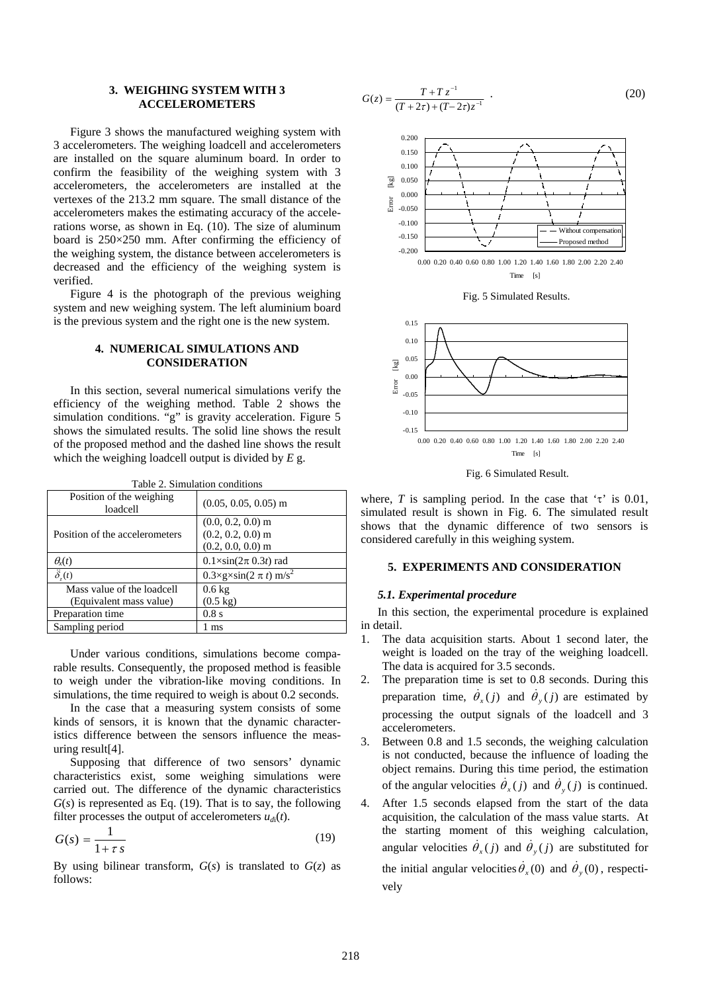# **3. WEIGHING SYSTEM WITH 3 ACCELEROMETERS**

Figure 3 shows the manufactured weighing system with 3 accelerometers. The weighing loadcell and accelerometers are installed on the square aluminum board. In order to confirm the feasibility of the weighing system with 3 accelerometers, the accelerometers are installed at the vertexes of the 213.2 mm square. The small distance of the accelerometers makes the estimating accuracy of the accelerations worse, as shown in Eq. (10). The size of aluminum board is  $250\times250$  mm. After confirming the efficiency of the weighing system, the distance between accelerometers is decreased and the efficiency of the weighing system is verified.

Figure 4 is the photograph of the previous weighing system and new weighing system. The left aluminium board is the previous system and the right one is the new system.

# **4. NUMERICAL SIMULATIONS AND CONSIDERATION**

In this section, several numerical simulations verify the efficiency of the weighing method. Table 2 shows the simulation conditions. "g" is gravity acceleration. Figure 5 shows the simulated results. The solid line shows the result of the proposed method and the dashed line shows the result which the weighing loadcell output is divided by *E* g.

| Table 2. Shinuation conditions       |                                                                   |  |  |  |
|--------------------------------------|-------------------------------------------------------------------|--|--|--|
| Position of the weighing<br>loadcell | $(0.05, 0.05, 0.05)$ m                                            |  |  |  |
| Position of the accelerometers       | $(0.0, 0.2, 0.0)$ m<br>$(0.2, 0.2, 0.0)$ m<br>$(0.2, 0.0, 0.0)$ m |  |  |  |
| $\theta_{\rm r}(t)$                  | $0.1 \times \sin(2\pi \cdot 0.3t)$ rad                            |  |  |  |
| $\ddot{\delta}_t(t)$                 | $0.3 \times g \times \sin(2 \pi t)$ m/s <sup>2</sup>              |  |  |  |
| Mass value of the loadcell           | $0.6 \text{ kg}$                                                  |  |  |  |
| (Equivalent mass value)              | $(0.5 \text{ kg})$                                                |  |  |  |
| Preparation time                     | 0.8 s                                                             |  |  |  |
| Sampling period                      | 1 ms                                                              |  |  |  |

Table 2. Simulation conditions

Under various conditions, simulations become comparable results. Consequently, the proposed method is feasible to weigh under the vibration-like moving conditions. In simulations, the time required to weigh is about 0.2 seconds.

In the case that a measuring system consists of some kinds of sensors, it is known that the dynamic characteristics difference between the sensors influence the measuring result[4].

Supposing that difference of two sensors' dynamic characteristics exist, some weighing simulations were carried out. The difference of the dynamic characteristics  $G(s)$  is represented as Eq. (19). That is to say, the following filter processes the output of accelerometers  $u_{d}$ <sub>(</sub> $t$ ).

$$
G(s) = \frac{1}{1 + \tau s} \tag{19}
$$

By using bilinear transform,  $G(s)$  is translated to  $G(z)$  as follows:

$$
G(z) = \frac{T + T z^{-1}}{(T + 2\tau) + (T - 2\tau)z^{-1}} \tag{20}
$$



Fig. 5 Simulated Results.



Fig. 6 Simulated Result.

where, *T* is sampling period. In the case that ' $\tau$ ' is 0.01, simulated result is shown in Fig. 6. The simulated result shows that the dynamic difference of two sensors is considered carefully in this weighing system.

### **5. EXPERIMENTS AND CONSIDERATION**

#### *5.1. Experimental procedure*

In this section, the experimental procedure is explained in detail.

- 1. The data acquisition starts. About 1 second later, the weight is loaded on the tray of the weighing loadcell. The data is acquired for 3.5 seconds.
- 2. The preparation time is set to 0.8 seconds. During this preparation time,  $\dot{\theta}_x(j)$  and  $\dot{\theta}_y(j)$  are estimated by processing the output signals of the loadcell and 3 accelerometers.
- 3. Between 0.8 and 1.5 seconds, the weighing calculation is not conducted, because the influence of loading the object remains. During this time period, the estimation of the angular velocities  $\dot{\theta}_x(j)$  and  $\dot{\theta}_y(j)$  is continued.
- 4. After 1.5 seconds elapsed from the start of the data acquisition, the calculation of the mass value starts. At the starting moment of this weighing calculation, angular velocities  $\dot{\theta}_x(j)$  and  $\dot{\theta}_y(j)$  are substituted for the initial angular velocities  $\dot{\theta}_x(0)$  and  $\dot{\theta}_y(0)$ , respectively